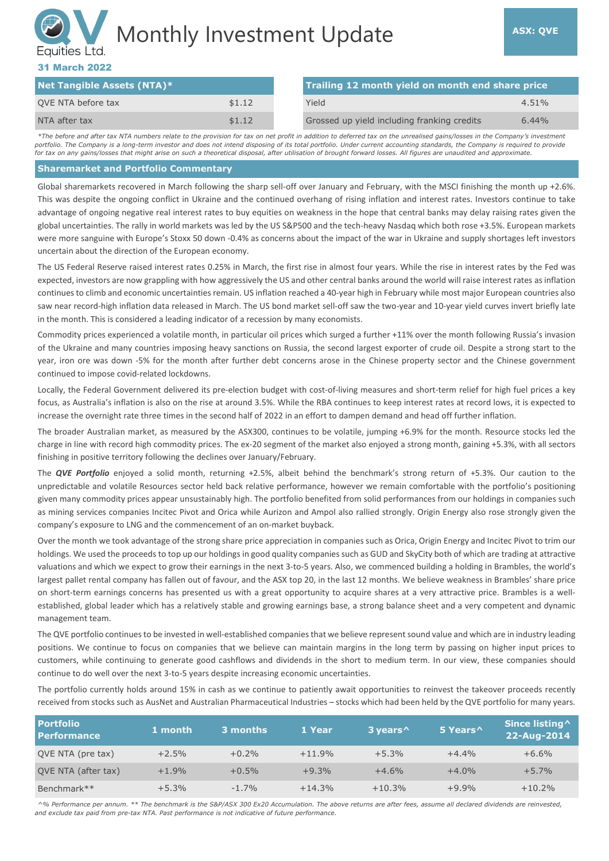# Monthly Investment Update **ASX: QVE** Equities Ltd.

# 31 March 2022

| <b>Net Tangible Assets (NTA)*</b> |        |  | Trailing 12 month yield on month end share price |          |
|-----------------------------------|--------|--|--------------------------------------------------|----------|
| QVE NTA before tax                | \$1.12 |  | Yield                                            | $4.51\%$ |
| NTA after tax                     | \$1.12 |  | Grossed up yield including franking credits      | $6.44\%$ |

*\*The before and after tax NTA numbers relate to the provision for tax on net profit in addition to deferred tax on the unrealised gains/losses in the Company's investment portfolio. The Company is a long-term investor and does not intend disposing of its total portfolio. Under current accounting standards, the Company is required to provide for tax on any gains/losses that might arise on such a theoretical disposal, after utilisation of brought forward losses. All figures are unaudited and approximate.*

#### **Sharemarket and Portfolio Commentary**

Global sharemarkets recovered in March following the sharp sell-off over January and February, with the MSCI finishing the month up +2.6%. This was despite the ongoing conflict in Ukraine and the continued overhang of rising inflation and interest rates. Investors continue to take advantage of ongoing negative real interest rates to buy equities on weakness in the hope that central banks may delay raising rates given the global uncertainties. The rally in world markets was led by the US S&P500 and the tech-heavy Nasdaq which both rose +3.5%. European markets were more sanguine with Europe's Stoxx 50 down -0.4% as concerns about the impact of the war in Ukraine and supply shortages left investors uncertain about the direction of the European economy.

The US Federal Reserve raised interest rates 0.25% in March, the first rise in almost four years. While the rise in interest rates by the Fed was expected, investors are now grappling with how aggressively the US and other central banks around the world will raise interest rates as inflation continues to climb and economic uncertainties remain. US inflation reached a 40-year high in February while most major European countries also saw near record-high inflation data released in March. The US bond market sell-off saw the two-year and 10-year yield curves invert briefly late in the month. This is considered a leading indicator of a recession by many economists.

Commodity prices experienced a volatile month, in particular oil prices which surged a further +11% over the month following Russia's invasion of the Ukraine and many countries imposing heavy sanctions on Russia, the second largest exporter of crude oil. Despite a strong start to the year, iron ore was down -5% for the month after further debt concerns arose in the Chinese property sector and the Chinese government continued to impose covid-related lockdowns.

Locally, the Federal Government delivered its pre-election budget with cost-of-living measures and short-term relief for high fuel prices a key focus, as Australia's inflation is also on the rise at around 3.5%. While the RBA continues to keep interest rates at record lows, it is expected to increase the overnight rate three times in the second half of 2022 in an effort to dampen demand and head off further inflation.

The broader Australian market, as measured by the ASX300, continues to be volatile, jumping +6.9% for the month. Resource stocks led the charge in line with record high commodity prices. The ex-20 segment of the market also enjoyed a strong month, gaining +5.3%, with all sectors finishing in positive territory following the declines over January/February.

The *QVE Portfolio* enjoyed a solid month, returning +2.5%, albeit behind the benchmark's strong return of +5.3%. Our caution to the unpredictable and volatile Resources sector held back relative performance, however we remain comfortable with the portfolio's positioning given many commodity prices appear unsustainably high. The portfolio benefited from solid performances from our holdings in companies such as mining services companies Incitec Pivot and Orica while Aurizon and Ampol also rallied strongly. Origin Energy also rose strongly given the company's exposure to LNG and the commencement of an on-market buyback.

Over the month we took advantage of the strong share price appreciation in companies such as Orica, Origin Energy and Incitec Pivot to trim our holdings. We used the proceeds to top up our holdings in good quality companies such as GUD and SkyCity both of which are trading at attractive valuations and which we expect to grow their earnings in the next 3-to-5 years. Also, we commenced building a holding in Brambles, the world's largest pallet rental company has fallen out of favour, and the ASX top 20, in the last 12 months. We believe weakness in Brambles' share price on short-term earnings concerns has presented us with a great opportunity to acquire shares at a very attractive price. Brambles is a wellestablished, global leader which has a relatively stable and growing earnings base, a strong balance sheet and a very competent and dynamic management team.

The QVE portfolio continues to be invested in well-established companies that we believe represent sound value and which are in industry leading positions. We continue to focus on companies that we believe can maintain margins in the long term by passing on higher input prices to customers, while continuing to generate good cashflows and dividends in the short to medium term. In our view, these companies should continue to do well over the next 3-to-5 years despite increasing economic uncertainties.

The portfolio currently holds around 15% in cash as we continue to patiently await opportunities to reinvest the takeover proceeds recently received from stocks such as AusNet and Australian Pharmaceutical Industries – stocks which had been held by the QVE portfolio for many years.

| <b>Portfolio</b><br><b>Performance</b> | 1 month | 3 months | 1 Year   | 3 years <sup>^</sup> | 5 Years^ | Since listing ^<br>22-Aug-2014 |
|----------------------------------------|---------|----------|----------|----------------------|----------|--------------------------------|
| QVE NTA (pre tax)                      | $+2.5%$ | $+0.2%$  | $+11.9%$ | $+5.3%$              | $+4.4%$  | $+6.6%$                        |
| QVE NTA (after tax)                    | $+1.9%$ | $+0.5%$  | $+9.3%$  | $+4.6%$              | $+4.0%$  | $+5.7%$                        |
| Benchmark**                            | $+5.3%$ | $-1.7%$  | $+14.3%$ | $+10.3%$             | $+9.9%$  | $+10.2%$                       |

*^% Performance per annum. \*\* The benchmark is the S&P/ASX 300 Ex20 Accumulation. The above returns are after fees, assume all declared dividends are reinvested, and exclude tax paid from pre-tax NTA. Past performance is not indicative of future performance.*